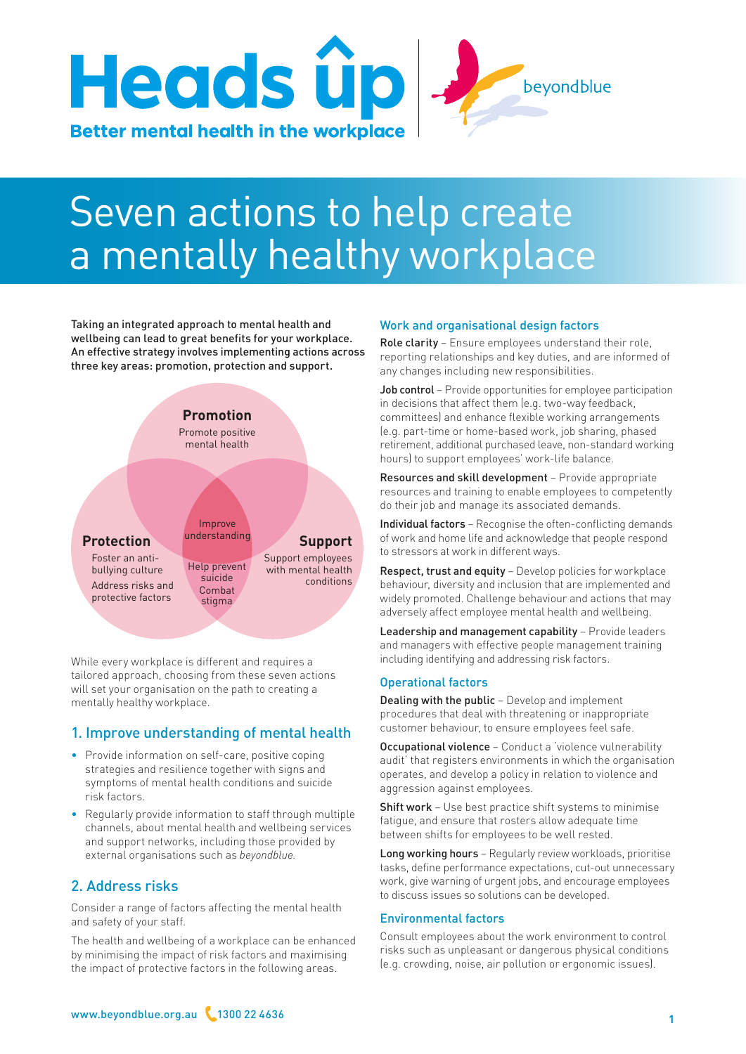

# Seven actions to help create a mentally healthy workplace

Taking an integrated approach to mental health and wellbeing can lead to great benefits for your workplace. An effective strategy involves implementing actions across three key areas: promotion, protection and support.



While every workplace is different and requires a tailored approach, choosing from these seven actions will set your organisation on the path to creating a mentally healthy workplace.

# 1. Improve understanding of mental health

- Provide information on self-care, positive coping strategies and resilience together with signs and symptoms of mental health conditions and suicide risk factors.
- Regularly provide information to staff through multiple channels, about mental health and wellbeing services and support networks, including those provided by external organisations such as *beyondblue.*

# 2. Address risks

Consider a range of factors affecting the mental health and safety of your staff.

The health and wellbeing of a workplace can be enhanced by minimising the impact of risk factors and maximising the impact of protective factors in the following areas.

## Work and organisational design factors

Role clarity - Ensure employees understand their role, reporting relationships and key duties, and are informed of any changes including new responsibilities.

Job control – Provide opportunities for employee participation in decisions that affect them (e.g. two-way feedback, committees) and enhance flexible working arrangements (e.g. part-time or home-based work, job sharing, phased retirement, additional purchased leave, non-standard working hours) to support employees' work-life balance.

Resources and skill development – Provide appropriate resources and training to enable employees to competently do their job and manage its associated demands.

Individual factors – Recognise the often-conflicting demands of work and home life and acknowledge that people respond to stressors at work in different ways.

Respect, trust and equity - Develop policies for workplace behaviour, diversity and inclusion that are implemented and widely promoted. Challenge behaviour and actions that may adversely affect employee mental health and wellbeing.

Leadership and management capability - Provide leaders and managers with effective people management training including identifying and addressing risk factors.

## Operational factors

Dealing with the public – Develop and implement procedures that deal with threatening or inappropriate customer behaviour, to ensure employees feel safe.

Occupational violence – Conduct a 'violence vulnerability audit' that registers environments in which the organisation operates, and develop a policy in relation to violence and aggression against employees.

Shift work - Use best practice shift systems to minimise fatigue, and ensure that rosters allow adequate time between shifts for employees to be well rested.

Long working hours – Regularly review workloads, prioritise tasks, define performance expectations, cut-out unnecessary work, give warning of urgent jobs, and encourage employees to discuss issues so solutions can be developed.

## Environmental factors

Consult employees about the work environment to control risks such as unpleasant or dangerous physical conditions (e.g. crowding, noise, air pollution or ergonomic issues).